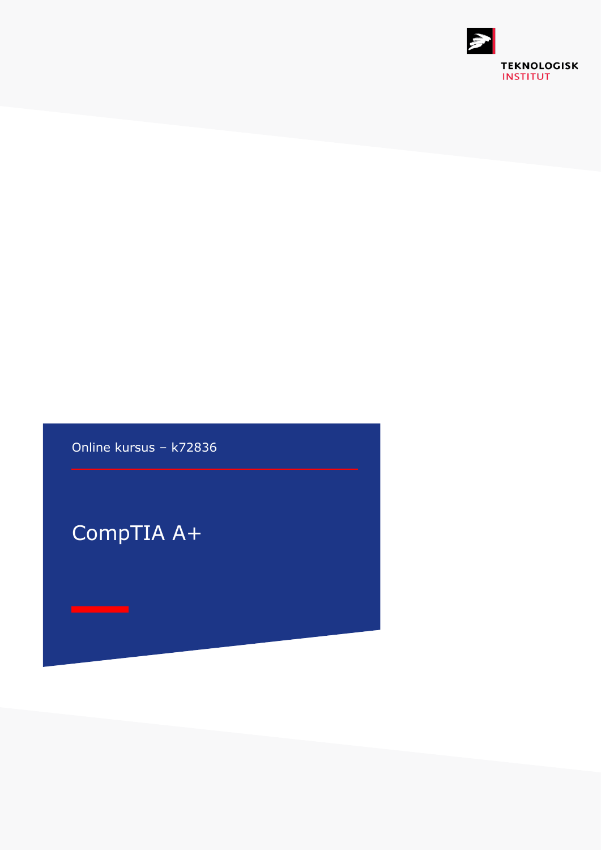

Online kursus – k72836

CompTIA A+